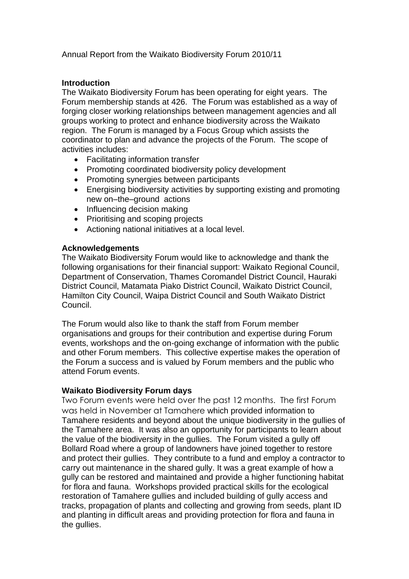Annual Report from the Waikato Biodiversity Forum 2010/11

# **Introduction**

The Waikato Biodiversity Forum has been operating for eight years. The Forum membership stands at 426. The Forum was established as a way of forging closer working relationships between management agencies and all groups working to protect and enhance biodiversity across the Waikato region. The Forum is managed by a Focus Group which assists the coordinator to plan and advance the projects of the Forum. The scope of activities includes:

- Facilitating information transfer
- Promoting coordinated biodiversity policy development
- Promoting synergies between participants
- Energising biodiversity activities by supporting existing and promoting new on–the–ground actions
- Influencing decision making
- Prioritising and scoping projects
- Actioning national initiatives at a local level.

# **Acknowledgements**

The Waikato Biodiversity Forum would like to acknowledge and thank the following organisations for their financial support: Waikato Regional Council, Department of Conservation, Thames Coromandel District Council, Hauraki District Council, Matamata Piako District Council, Waikato District Council, Hamilton City Council, Waipa District Council and South Waikato District Council.

The Forum would also like to thank the staff from Forum member organisations and groups for their contribution and expertise during Forum events, workshops and the on-going exchange of information with the public and other Forum members. This collective expertise makes the operation of the Forum a success and is valued by Forum members and the public who attend Forum events.

# **Waikato Biodiversity Forum days**

Two Forum events were held over the past 12 months. The first Forum was held in November at Tamahere which provided information to Tamahere residents and beyond about the unique biodiversity in the gullies of the Tamahere area. It was also an opportunity for participants to learn about the value of the biodiversity in the gullies. The Forum visited a gully off Bollard Road where a group of landowners have joined together to restore and protect their gullies. They contribute to a fund and employ a contractor to carry out maintenance in the shared gully. It was a great example of how a gully can be restored and maintained and provide a higher functioning habitat for flora and fauna. Workshops provided practical skills for the ecological restoration of Tamahere gullies and included building of gully access and tracks, propagation of plants and collecting and growing from seeds, plant ID and planting in difficult areas and providing protection for flora and fauna in the gullies.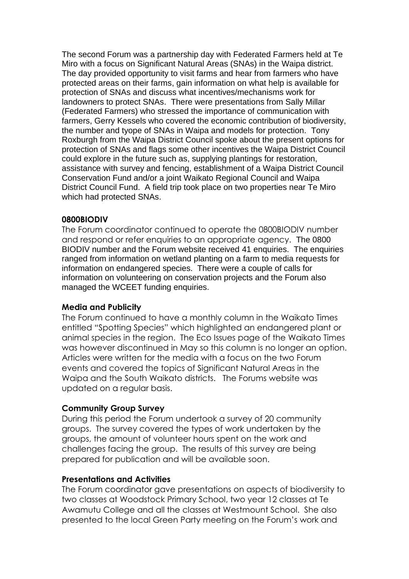The second Forum was a partnership day with Federated Farmers held at Te Miro with a focus on Significant Natural Areas (SNAs) in the Waipa district. The day provided opportunity to visit farms and hear from farmers who have protected areas on their farms, gain information on what help is available for protection of SNAs and discuss what incentives/mechanisms work for landowners to protect SNAs. There were presentations from Sally Millar (Federated Farmers) who stressed the importance of communication with farmers, Gerry Kessels who covered the economic contribution of biodiversity, the number and tyope of SNAs in Waipa and models for protection. Tony Roxburgh from the Waipa District Council spoke about the present options for protection of SNAs and flags some other incentives the Waipa District Council could explore in the future such as, supplying plantings for restoration, assistance with survey and fencing, establishment of a Waipa District Council Conservation Fund and/or a joint Waikato Regional Council and Waipa District Council Fund. A field trip took place on two properties near Te Miro which had protected SNAs.

### **0800BIODIV**

The Forum coordinator continued to operate the 0800BIODIV number and respond or refer enquiries to an appropriate agency. The 0800 BIODIV number and the Forum website received 41 enquiries. The enquiries ranged from information on wetland planting on a farm to media requests for information on endangered species. There were a couple of calls for information on volunteering on conservation projects and the Forum also managed the WCEET funding enquiries.

### **Media and Publicity**

The Forum continued to have a monthly column in the Waikato Times entitled "Spotting Species" which highlighted an endangered plant or animal species in the region. The Eco Issues page of the Waikato Times was however discontinued in May so this column is no longer an option. Articles were written for the media with a focus on the two Forum events and covered the topics of Significant Natural Areas in the Waipa and the South Waikato districts. The Forums website was updated on a regular basis.

# **Community Group Survey**

During this period the Forum undertook a survey of 20 community groups. The survey covered the types of work undertaken by the groups, the amount of volunteer hours spent on the work and challenges facing the group. The results of this survey are being prepared for publication and will be available soon.

### **Presentations and Activities**

The Forum coordinator gave presentations on aspects of biodiversity to two classes at Woodstock Primary School, two year 12 classes at Te Awamutu College and all the classes at Westmount School. She also presented to the local Green Party meeting on the Forum's work and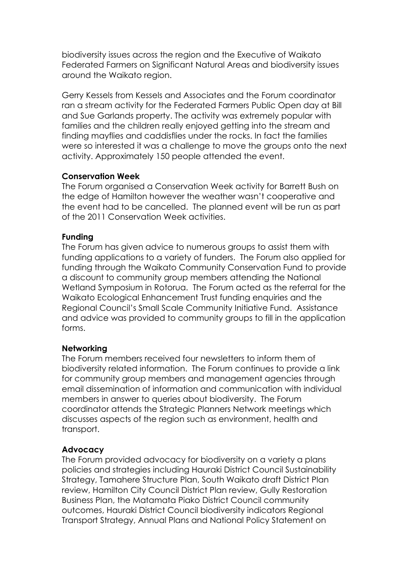biodiversity issues across the region and the Executive of Waikato Federated Farmers on Significant Natural Areas and biodiversity issues around the Waikato region.

Gerry Kessels from Kessels and Associates and the Forum coordinator ran a stream activity for the Federated Farmers Public Open day at Bill and Sue Garlands property. The activity was extremely popular with families and the children really enjoyed getting into the stream and finding mayflies and caddisflies under the rocks. In fact the families were so interested it was a challenge to move the groups onto the next activity. Approximately 150 people attended the event.

# **Conservation Week**

The Forum organised a Conservation Week activity for Barrett Bush on the edge of Hamilton however the weather wasn't cooperative and the event had to be cancelled. The planned event will be run as part of the 2011 Conservation Week activities.

# **Funding**

The Forum has given advice to numerous groups to assist them with funding applications to a variety of funders. The Forum also applied for funding through the Waikato Community Conservation Fund to provide a discount to community group members attending the National Wetland Symposium in Rotorua. The Forum acted as the referral for the Waikato Ecological Enhancement Trust funding enquiries and the Regional Council's Small Scale Community Initiative Fund. Assistance and advice was provided to community groups to fill in the application forms.

# **Networking**

The Forum members received four newsletters to inform them of biodiversity related information. The Forum continues to provide a link for community group members and management agencies through email dissemination of information and communication with individual members in answer to queries about biodiversity. The Forum coordinator attends the Strategic Planners Network meetings which discusses aspects of the region such as environment, health and transport.

# **Advocacy**

The Forum provided advocacy for biodiversity on a variety a plans policies and strategies including Hauraki District Council Sustainability Strategy, Tamahere Structure Plan, South Waikato draft District Plan review, Hamilton City Council District Plan review, Gully Restoration Business Plan, the Matamata Piako District Council community outcomes, Hauraki District Council biodiversity indicators Regional Transport Strategy, Annual Plans and National Policy Statement on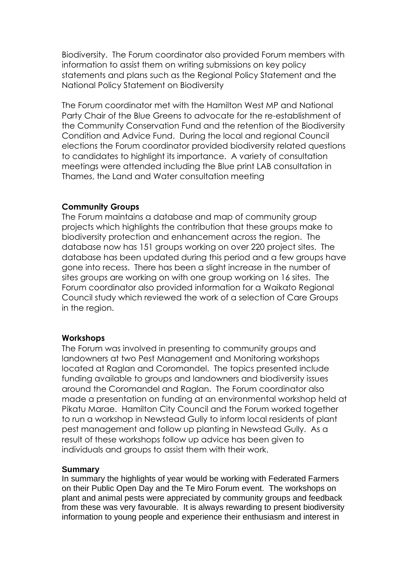Biodiversity. The Forum coordinator also provided Forum members with information to assist them on writing submissions on key policy statements and plans such as the Regional Policy Statement and the National Policy Statement on Biodiversity

The Forum coordinator met with the Hamilton West MP and National Party Chair of the Blue Greens to advocate for the re-establishment of the Community Conservation Fund and the retention of the Biodiversity Condition and Advice Fund. During the local and regional Council elections the Forum coordinator provided biodiversity related questions to candidates to highlight its importance. A variety of consultation meetings were attended including the Blue print LAB consultation in Thames, the Land and Water consultation meeting

### **Community Groups**

The Forum maintains a database and map of community group projects which highlights the contribution that these groups make to biodiversity protection and enhancement across the region. The database now has 151 groups working on over 220 project sites. The database has been updated during this period and a few groups have gone into recess. There has been a slight increase in the number of sites groups are working on with one group working on 16 sites. The Forum coordinator also provided information for a Waikato Regional Council study which reviewed the work of a selection of Care Groups in the region.

### **Workshops**

The Forum was involved in presenting to community groups and landowners at two Pest Management and Monitoring workshops located at Raglan and Coromandel. The topics presented include funding available to groups and landowners and biodiversity issues around the Coromandel and Raglan. The Forum coordinator also made a presentation on funding at an environmental workshop held at Pikatu Marae. Hamilton City Council and the Forum worked together to run a workshop in Newstead Gully to inform local residents of plant pest management and follow up planting in Newstead Gully. As a result of these workshops follow up advice has been given to individuals and groups to assist them with their work.

### **Summary**

In summary the highlights of year would be working with Federated Farmers on their Public Open Day and the Te Miro Forum event. The workshops on plant and animal pests were appreciated by community groups and feedback from these was very favourable. It is always rewarding to present biodiversity information to young people and experience their enthusiasm and interest in